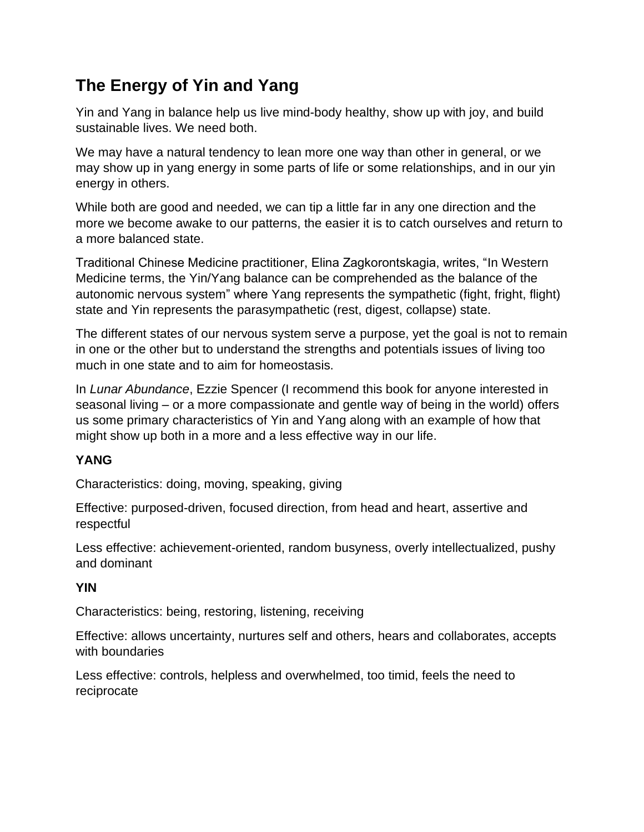## **The Energy of Yin and Yang**

Yin and Yang in balance help us live mind-body healthy, show up with joy, and build sustainable lives. We need both.

We may have a natural tendency to lean more one way than other in general, or we may show up in yang energy in some parts of life or some relationships, and in our yin energy in others.

While both are good and needed, we can tip a little far in any one direction and the more we become awake to our patterns, the easier it is to catch ourselves and return to a more balanced state.

Traditional Chinese Medicine practitioner, Elina Zagkorontskagia, writes, "In Western Medicine terms, the Yin/Yang balance can be comprehended as the balance of the autonomic nervous system" where Yang represents the sympathetic (fight, fright, flight) state and Yin represents the parasympathetic (rest, digest, collapse) state.

The different states of our nervous system serve a purpose, yet the goal is not to remain in one or the other but to understand the strengths and potentials issues of living too much in one state and to aim for homeostasis.

In *Lunar Abundance*, Ezzie Spencer (I recommend this book for anyone interested in seasonal living – or a more compassionate and gentle way of being in the world) offers us some primary characteristics of Yin and Yang along with an example of how that might show up both in a more and a less effective way in our life.

## **YANG**

Characteristics: doing, moving, speaking, giving

Effective: purposed-driven, focused direction, from head and heart, assertive and respectful

Less effective: achievement-oriented, random busyness, overly intellectualized, pushy and dominant

## **YIN**

Characteristics: being, restoring, listening, receiving

Effective: allows uncertainty, nurtures self and others, hears and collaborates, accepts with boundaries

Less effective: controls, helpless and overwhelmed, too timid, feels the need to reciprocate